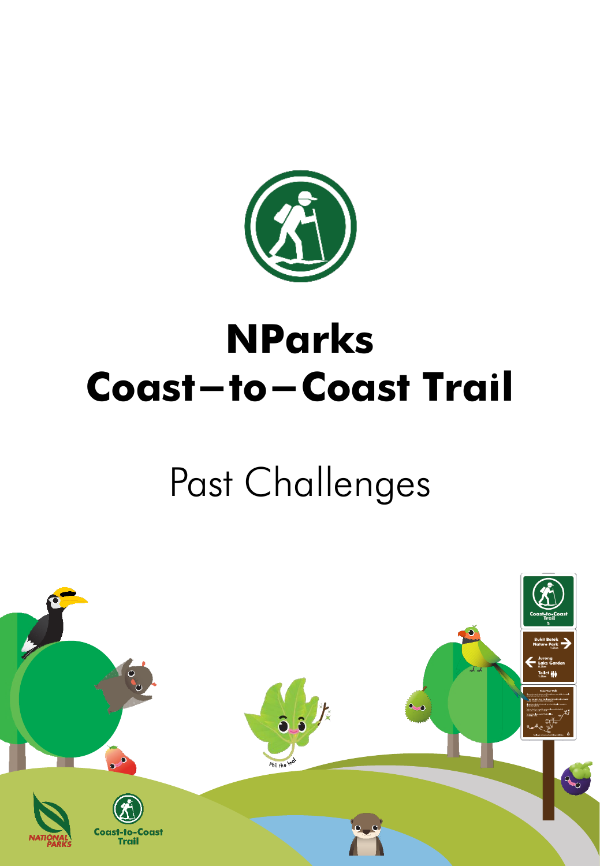

# **NParks Coast-to-Coast Trail**

# Past Challenges

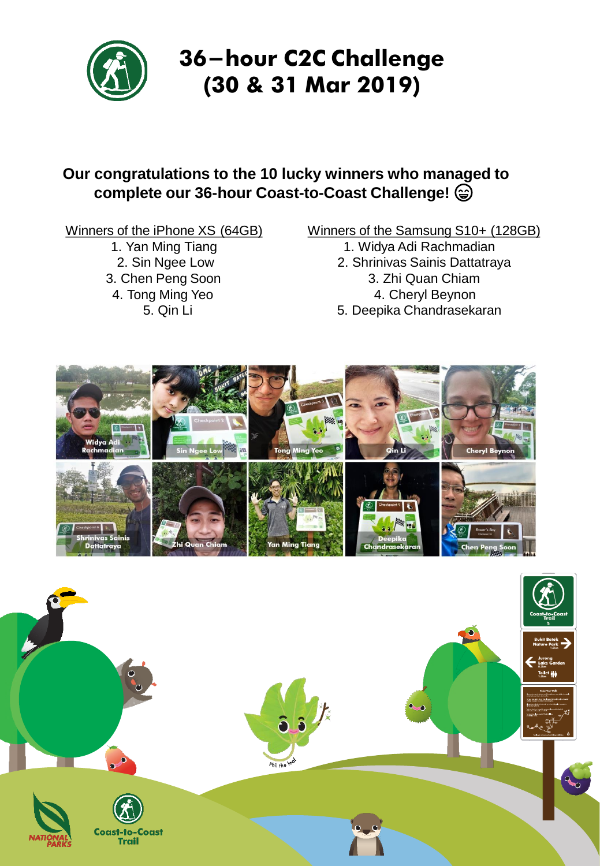

## **36-hour C2C Challenge (30 & 31 Mar 2019)**

### **Our congratulations to the 10 lucky winners who managed to complete our 36-hour Coast-to-Coast Challenge!**

Winners of the iPhone XS (64GB)

1. Yan Ming Tiang 2. Sin Ngee Low 3. Chen Peng Soon 4. Tong Ming Yeo 5. Qin Li

#### Winners of the Samsung S10+ (128GB)

- 1. Widya Adi Rachmadian
- 2. Shrinivas Sainis Dattatraya 3. Zhi Quan Chiam 4. Cheryl Beynon
- 5. Deepika Chandrasekaran



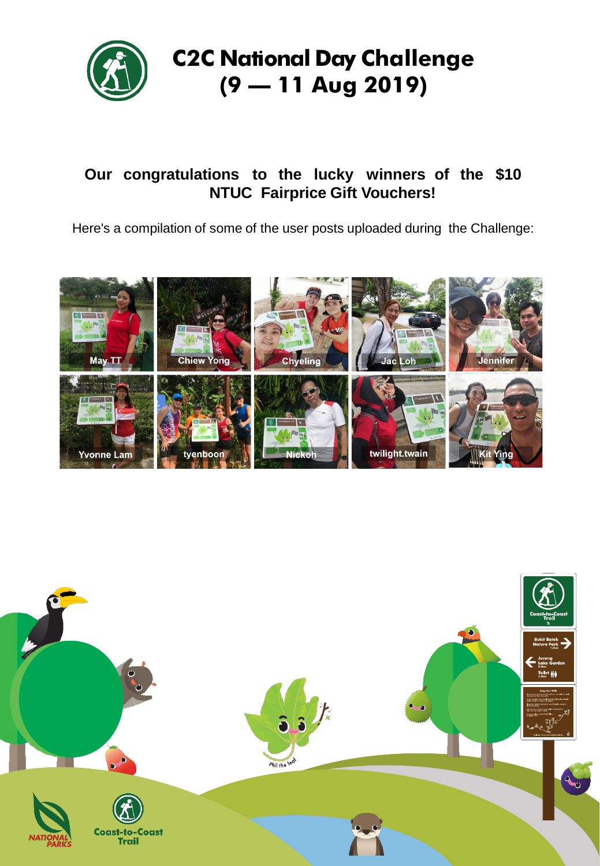

### **Our congratulations to the lucky winners of the \$10 NTUC Fairprice Gift Vouchers!**

Here's a compilation of some of the user posts uploaded during the Challenge:



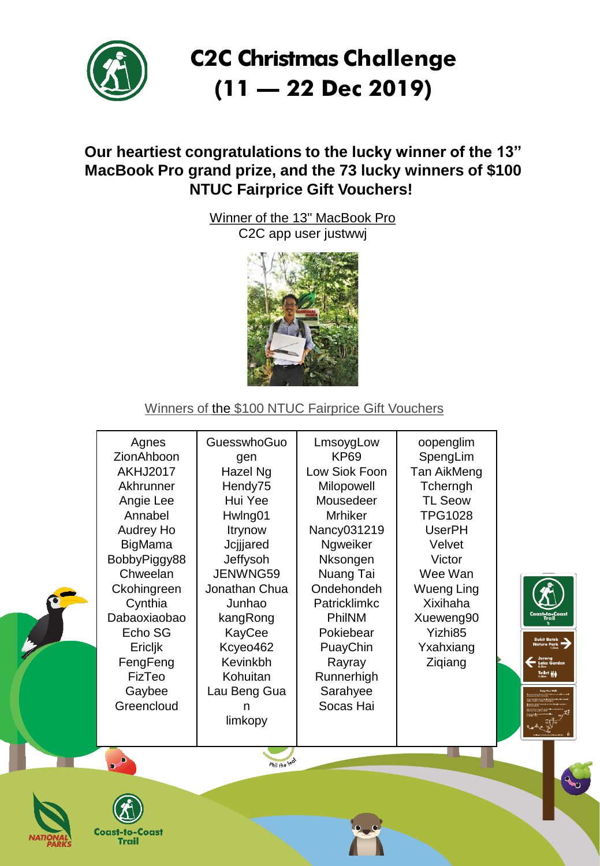

## **C2C Christmas Challenge (11 – 22 Dec 2019)**

### **Our heartiest congratulations to the lucky winner of the 13" MacBook Pro grand prize, and the 73 lucky winners of \$100 NTUC Fairprice Gift Vouchers!**

Winner of the 13" MacBook Pro C2C app user justwwj



#### Winners of the \$100 NTUC Fairprice Gift Vouchers

| Agnes<br>ZionAhboon<br><b>AKHJ2017</b><br>Akhrunner<br>Angie Lee<br>Annabel<br>Audrey Ho<br>BigMama<br>BobbyPiggy88<br>Chweelan<br>Ckohingreen<br>Cynthia<br>Dabaoxiaobao<br>Echo SG<br>Ericljk<br>FengFeng<br>FizTeo<br>Gaybee<br>Greencloud | GuesswhoGuo<br>gen<br>Hazel Ng<br>Hendy75<br>Hui Yee<br>Hwlng01<br>Itrynow<br>Jcjijared<br>Jeffysoh<br>JENWNG59<br>Jonathan Chua<br>Junhao<br>kangRong<br>KayCee<br>Kcyeo462<br>Kevinkbh<br>Kohuitan<br>Lau Beng Gua<br>limkopy | LmsoygLow<br>KP69<br>Low Siok Foon<br>Milopowell<br>Mousedeer<br><b>Mrhiker</b><br>Nancy031219<br>Ngweiker<br>Nksongen<br>Nuang Tai<br>Ondehondeh<br>Patricklimkc<br>PhilNM<br>Pokiebear<br>PuayChin<br>Rayray<br>Runnerhigh<br>Sarahyee<br>Socas Hai | oopenglim<br>SpengLim<br>Tan AikMeng<br>Tcherngh<br><b>TL Seow</b><br><b>TPG1028</b><br><b>UserPH</b><br>Velvet<br>Victor<br>Wee Wan<br>Wueng Ling<br>Xixihaha<br>Xueweng90<br>Yizhi85<br>Yxahxiang<br>Ziqiang | Coast-to-Coast<br>Trai <b>l</b><br><b>Bukit Batok</b><br><b>Nature Park</b><br>Jurong<br>Lake Garden<br>Toilet ale |
|-----------------------------------------------------------------------------------------------------------------------------------------------------------------------------------------------------------------------------------------------|---------------------------------------------------------------------------------------------------------------------------------------------------------------------------------------------------------------------------------|-------------------------------------------------------------------------------------------------------------------------------------------------------------------------------------------------------------------------------------------------------|----------------------------------------------------------------------------------------------------------------------------------------------------------------------------------------------------------------|--------------------------------------------------------------------------------------------------------------------|
|                                                                                                                                                                                                                                               |                                                                                                                                                                                                                                 |                                                                                                                                                                                                                                                       |                                                                                                                                                                                                                | Q                                                                                                                  |
|                                                                                                                                                                                                                                               |                                                                                                                                                                                                                                 |                                                                                                                                                                                                                                                       | Phil the least                                                                                                                                                                                                 |                                                                                                                    |



**Coast-to-Coast Trail**